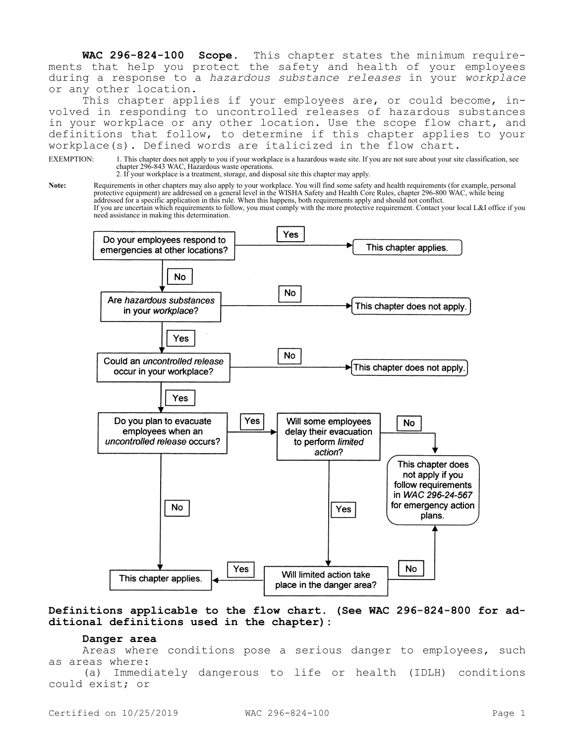**WAC 296-824-100 Scope.** This chapter states the minimum requirements that help you protect the safety and health of your employees during a response to a *hazardous substance releases* in your *workplace*  or any other location.

This chapter applies if your employees are, or could become, involved in responding to uncontrolled releases of hazardous substances in your workplace or any other location. Use the scope flow chart, and definitions that follow, to determine if this chapter applies to your workplace(s). Defined words are italicized in the flow chart.

EXEMPTION: 1. This chapter does not apply to you if your workplace is a hazardous waste site. If you are not sure about your site classification, see chapter 296-843 WAC, Hazardous waste operations.

2. If your workplace is a treatment, storage, and disposal site this chapter may apply.

**Note:** Requirements in other chapters may also apply to your workplace. You will find some safety and health requirements (for example, personal protective equipment) are addressed on a general level in the WISHA Safety and Health Core Rules, chapter 296-800 WAC, while being addressed for a specific application in this rule. When this happens, both requirements apply and should not conflict. If you are uncertain which requirements to follow, you must comply with the more protective requirement. Contact your local L&I office if you need assistance in making this determination.



## **Definitions applicable to the flow chart. (See WAC 296-824-800 for additional definitions used in the chapter):**

#### **Danger area**

Areas where conditions pose a serious danger to employees, such as areas where:

(a) Immediately dangerous to life or health (IDLH) conditions could exist; or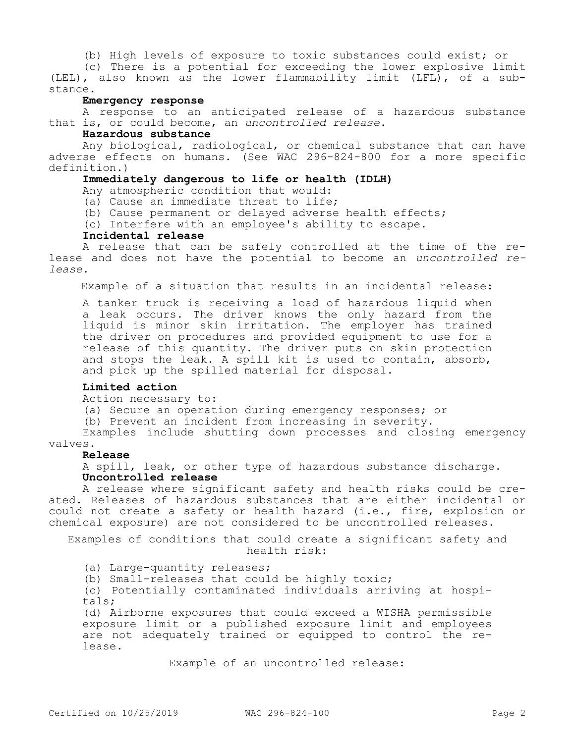(b) High levels of exposure to toxic substances could exist; or

(c) There is a potential for exceeding the lower explosive limit (LEL), also known as the lower flammability limit (LFL), of a substance.

### **Emergency response**

A response to an anticipated release of a hazardous substance that is, or could become, an *uncontrolled release*.

#### **Hazardous substance**

Any biological, radiological, or chemical substance that can have adverse effects on humans. (See WAC 296-824-800 for a more specific definition.)

### **Immediately dangerous to life or health (IDLH)**

Any atmospheric condition that would:

(a) Cause an immediate threat to life;

(b) Cause permanent or delayed adverse health effects;

(c) Interfere with an employee's ability to escape.

#### **Incidental release**

A release that can be safely controlled at the time of the release and does not have the potential to become an *uncontrolled release*.

Example of a situation that results in an incidental release:

A tanker truck is receiving a load of hazardous liquid when a leak occurs. The driver knows the only hazard from the liquid is minor skin irritation. The employer has trained the driver on procedures and provided equipment to use for a release of this quantity. The driver puts on skin protection and stops the leak. A spill kit is used to contain, absorb, and pick up the spilled material for disposal.

# **Limited action**

Action necessary to:

(a) Secure an operation during emergency responses; or

(b) Prevent an incident from increasing in severity.

Examples include shutting down processes and closing emergency valves.

### **Release**

A spill, leak, or other type of hazardous substance discharge. **Uncontrolled release**

A release where significant safety and health risks could be created. Releases of hazardous substances that are either incidental or could not create a safety or health hazard (i.e., fire, explosion or chemical exposure) are not considered to be uncontrolled releases.

Examples of conditions that could create a significant safety and health risk:

(a) Large-quantity releases;

(b) Small-releases that could be highly toxic;

(c) Potentially contaminated individuals arriving at hospitals;

(d) Airborne exposures that could exceed a WISHA permissible exposure limit or a published exposure limit and employees are not adequately trained or equipped to control the release.

Example of an uncontrolled release: